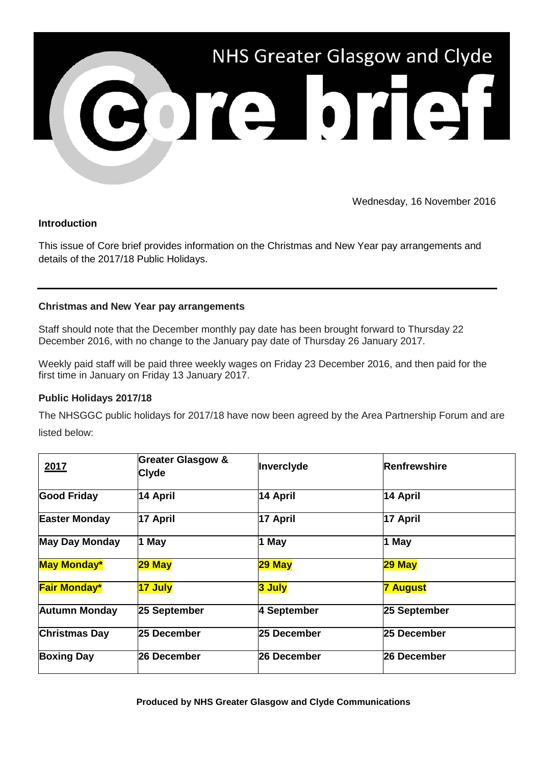

Wednesday, 16 November 2016

## **Introduction**

This issue of Core brief provides information on the Christmas and New Year pay arrangements and details of the 2017/18 Public Holidays.

## **Christmas and New Year pay arrangements**

Staff should note that the December monthly pay date has been brought forward to Thursday 22 December 2016, with no change to the January pay date of Thursday 26 January 2017.

Weekly paid staff will be paid three weekly wages on Friday 23 December 2016, and then paid for the first time in January on Friday 13 January 2017.

## **Public Holidays 2017/18**

The NHSGGC public holidays for 2017/18 have now been agreed by the Area Partnership Forum and are listed below:

| 2017                  | <b>Greater Glasgow &amp;</b><br><b>Clyde</b> | Inverclyde  | Renfrewshire    |
|-----------------------|----------------------------------------------|-------------|-----------------|
| <b>Good Friday</b>    | 14 April                                     | 14 April    | 14 April        |
| <b>Easter Monday</b>  | 17 April                                     | 17 April    | 17 April        |
| <b>May Day Monday</b> | 1 May                                        | 1 May       | 1 May           |
| <b>May Monday*</b>    | 29 May                                       | 29 May      | 29 May          |
| <b>Fair Monday*</b>   | 17 July                                      | 3 July      | <b>7 August</b> |
| <b>Autumn Monday</b>  | 25 September                                 | 4 September | 25 September    |
| <b>Christmas Day</b>  | 25 December                                  | 25 December | 25 December     |
| <b>Boxing Day</b>     | 26 December                                  | 26 December | 26 December     |